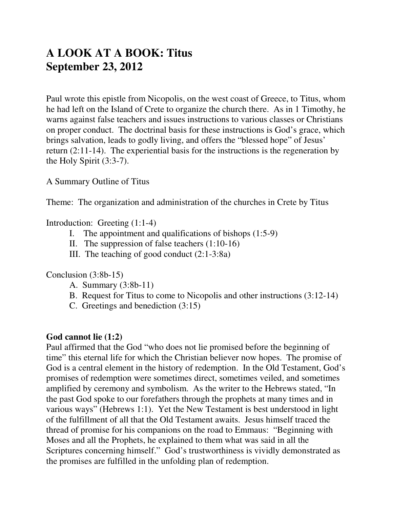# **A LOOK AT A BOOK: Titus September 23, 2012**

Paul wrote this epistle from Nicopolis, on the west coast of Greece, to Titus, whom he had left on the Island of Crete to organize the church there. As in 1 Timothy, he warns against false teachers and issues instructions to various classes or Christians on proper conduct. The doctrinal basis for these instructions is God's grace, which brings salvation, leads to godly living, and offers the "blessed hope" of Jesus' return (2:11-14). The experiential basis for the instructions is the regeneration by the Holy Spirit (3:3-7).

A Summary Outline of Titus

Theme: The organization and administration of the churches in Crete by Titus

Introduction: Greeting (1:1-4)

- I. The appointment and qualifications of bishops (1:5-9)
- II. The suppression of false teachers (1:10-16)
- III. The teaching of good conduct (2:1-3:8a)

Conclusion (3:8b-15)

- A. Summary (3:8b-11)
- B. Request for Titus to come to Nicopolis and other instructions (3:12-14)
- C. Greetings and benediction (3:15)

#### **God cannot lie (1:2)**

Paul affirmed that the God "who does not lie promised before the beginning of time" this eternal life for which the Christian believer now hopes. The promise of God is a central element in the history of redemption. In the Old Testament, God's promises of redemption were sometimes direct, sometimes veiled, and sometimes amplified by ceremony and symbolism. As the writer to the Hebrews stated, "In the past God spoke to our forefathers through the prophets at many times and in various ways" (Hebrews 1:1). Yet the New Testament is best understood in light of the fulfillment of all that the Old Testament awaits. Jesus himself traced the thread of promise for his companions on the road to Emmaus: "Beginning with Moses and all the Prophets, he explained to them what was said in all the Scriptures concerning himself." God's trustworthiness is vividly demonstrated as the promises are fulfilled in the unfolding plan of redemption.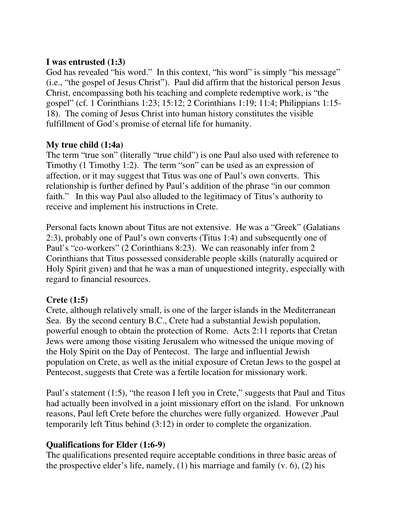### **I was entrusted (1:3)**

God has revealed "his word." In this context, "his word" is simply "his message" (i.e., "the gospel of Jesus Christ"). Paul did affirm that the historical person Jesus Christ, encompassing both his teaching and complete redemptive work, is "the gospel" (cf. 1 Corinthians 1:23; 15:12; 2 Corinthians 1:19; 11:4; Philippians 1:15- 18). The coming of Jesus Christ into human history constitutes the visible fulfillment of God's promise of eternal life for humanity.

## **My true child (1:4a)**

The term "true son" (literally "true child") is one Paul also used with reference to Timothy (1 Timothy 1:2). The term "son" can be used as an expression of affection, or it may suggest that Titus was one of Paul's own converts. This relationship is further defined by Paul's addition of the phrase "in our common faith." In this way Paul also alluded to the legitimacy of Titus's authority to receive and implement his instructions in Crete.

Personal facts known about Titus are not extensive. He was a "Greek" (Galatians 2:3), probably one of Paul's own converts (Titus 1:4) and subsequently one of Paul's "co-workers" (2 Corinthians 8:23). We can reasonably infer from 2 Corinthians that Titus possessed considerable people skills (naturally acquired or Holy Spirit given) and that he was a man of unquestioned integrity, especially with regard to financial resources.

## **Crete (1:5)**

Crete, although relatively small, is one of the larger islands in the Mediterranean Sea. By the second century B.C., Crete had a substantial Jewish population, powerful enough to obtain the protection of Rome. Acts 2:11 reports that Cretan Jews were among those visiting Jerusalem who witnessed the unique moving of the Holy Spirit on the Day of Pentecost. The large and influential Jewish population on Crete, as well as the initial exposure of Cretan Jews to the gospel at Pentecost, suggests that Crete was a fertile location for missionary work.

Paul's statement (1:5), "the reason I left you in Crete," suggests that Paul and Titus had actually been involved in a joint missionary effort on the island. For unknown reasons, Paul left Crete before the churches were fully organized. However ,Paul temporarily left Titus behind (3:12) in order to complete the organization.

# **Qualifications for Elder (1:6-9)**

The qualifications presented require acceptable conditions in three basic areas of the prospective elder's life, namely,  $(1)$  his marriage and family  $(v. 6)$ ,  $(2)$  his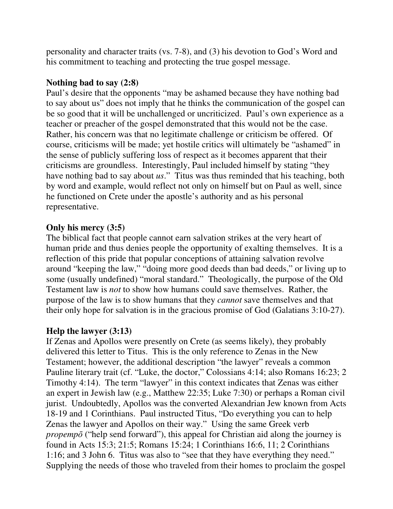personality and character traits (vs. 7-8), and (3) his devotion to God's Word and his commitment to teaching and protecting the true gospel message.

#### **Nothing bad to say (2:8)**

Paul's desire that the opponents "may be ashamed because they have nothing bad to say about us" does not imply that he thinks the communication of the gospel can be so good that it will be unchallenged or uncriticized. Paul's own experience as a teacher or preacher of the gospel demonstrated that this would not be the case. Rather, his concern was that no legitimate challenge or criticism be offered. Of course, criticisms will be made; yet hostile critics will ultimately be "ashamed" in the sense of publicly suffering loss of respect as it becomes apparent that their criticisms are groundless. Interestingly, Paul included himself by stating "they have nothing bad to say about *us*." Titus was thus reminded that his teaching, both by word and example, would reflect not only on himself but on Paul as well, since he functioned on Crete under the apostle's authority and as his personal representative.

#### **Only his mercy (3:5)**

The biblical fact that people cannot earn salvation strikes at the very heart of human pride and thus denies people the opportunity of exalting themselves. It is a reflection of this pride that popular conceptions of attaining salvation revolve around "keeping the law," "doing more good deeds than bad deeds," or living up to some (usually undefined) "moral standard." Theologically, the purpose of the Old Testament law is *not* to show how humans could save themselves. Rather, the purpose of the law is to show humans that they *cannot* save themselves and that their only hope for salvation is in the gracious promise of God (Galatians 3:10-27).

#### **Help the lawyer (3:13)**

If Zenas and Apollos were presently on Crete (as seems likely), they probably delivered this letter to Titus. This is the only reference to Zenas in the New Testament; however, the additional description "the lawyer" reveals a common Pauline literary trait (cf. "Luke, the doctor," Colossians 4:14; also Romans 16:23; 2 Timothy 4:14). The term "lawyer" in this context indicates that Zenas was either an expert in Jewish law (e.g., Matthew 22:35; Luke 7:30) or perhaps a Roman civil jurist. Undoubtedly, Apollos was the converted Alexandrian Jew known from Acts 18-19 and 1 Corinthians. Paul instructed Titus, "Do everything you can to help Zenas the lawyer and Apollos on their way." Using the same Greek verb *propempo* ("help send forward"), this appeal for Christian aid along the journey is found in Acts 15:3; 21:5; Romans 15:24; 1 Corinthians 16:6, 11; 2 Corinthians 1:16; and 3 John 6. Titus was also to "see that they have everything they need." Supplying the needs of those who traveled from their homes to proclaim the gospel